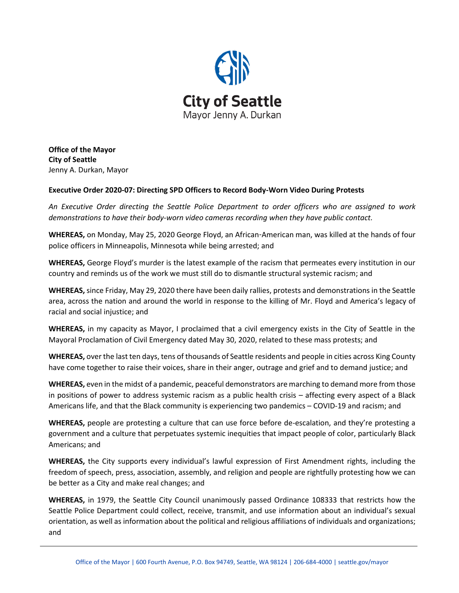

**Office of the Mayor City of Seattle** Jenny A. Durkan, Mayor

## **Executive Order 2020-07: Directing SPD Officers to Record Body-Worn Video During Protests**

*An Executive Order directing the Seattle Police Department to order officers who are assigned to work demonstrations to have their body-worn video cameras recording when they have public contact.*

**WHEREAS,** on Monday, May 25, 2020 George Floyd, an African-American man, was killed at the hands of four police officers in Minneapolis, Minnesota while being arrested; and

**WHEREAS,** George Floyd's murder is the latest example of the racism that permeates every institution in our country and reminds us of the work we must still do to dismantle structural systemic racism; and

**WHEREAS,** since Friday, May 29, 2020 there have been daily rallies, protests and demonstrations in the Seattle area, across the nation and around the world in response to the killing of Mr. Floyd and America's legacy of racial and social injustice; and

**WHEREAS,** in my capacity as Mayor, I proclaimed that a civil emergency exists in the City of Seattle in the Mayoral Proclamation of Civil Emergency dated May 30, 2020, related to these mass protests; and

**WHEREAS,** over the last ten days, tens of thousands of Seattle residents and people in cities across King County have come together to raise their voices, share in their anger, outrage and grief and to demand justice; and

**WHEREAS,** even in the midst of a pandemic, peaceful demonstrators are marching to demand more from those in positions of power to address systemic racism as a public health crisis – affecting every aspect of a Black Americans life, and that the Black community is experiencing two pandemics – COVID-19 and racism; and

**WHEREAS,** people are protesting a culture that can use force before de-escalation, and they're protesting a government and a culture that perpetuates systemic inequities that impact people of color, particularly Black Americans; and

**WHEREAS,** the City supports every individual's lawful expression of First Amendment rights, including the freedom of speech, press, association, assembly, and religion and people are rightfully protesting how we can be better as a City and make real changes; and

**WHEREAS,** in 1979, the Seattle City Council unanimously passed Ordinance 108333 that restricts how the Seattle Police Department could collect, receive, transmit, and use information about an individual's sexual orientation, as well as information about the political and religious affiliations of individuals and organizations; and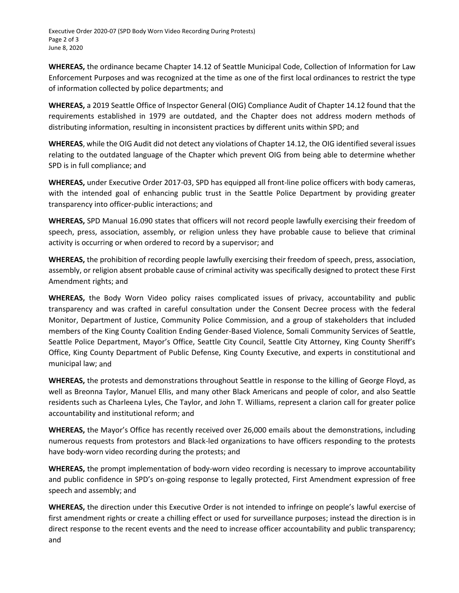Executive Order 2020-07 (SPD Body Worn Video Recording During Protests) Page 2 of 3 June 8, 2020

**WHEREAS,** the ordinance became Chapter 14.12 of Seattle Municipal Code, Collection of Information for Law Enforcement Purposes and was recognized at the time as one of the first local ordinances to restrict the type of information collected by police departments; and

**WHEREAS,** a 2019 Seattle Office of Inspector General (OIG) Compliance Audit of Chapter 14.12 found that the requirements established in 1979 are outdated, and the Chapter does not address modern methods of distributing information, resulting in inconsistent practices by different units within SPD; and

**WHEREAS**, while the OIG Audit did not detect any violations of Chapter 14.12, the OIG identified several issues relating to the outdated language of the Chapter which prevent OIG from being able to determine whether SPD is in full compliance; and

**WHEREAS,** under Executive Order 2017-03, SPD has equipped all front-line police officers with body cameras, with the intended goal of enhancing public trust in the Seattle Police Department by providing greater transparency into officer-public interactions; and

**WHEREAS,** SPD Manual 16.090 states that officers will not record people lawfully exercising their freedom of speech, press, association, assembly, or religion unless they have probable cause to believe that criminal activity is occurring or when ordered to record by a supervisor; and

**WHEREAS,** the prohibition of recording people lawfully exercising their freedom of speech, press, association, assembly, or religion absent probable cause of criminal activity was specifically designed to protect these First Amendment rights; and

**WHEREAS,** the Body Worn Video policy raises complicated issues of privacy, accountability and public transparency and was crafted in careful consultation under the Consent Decree process with the federal Monitor, Department of Justice, Community Police Commission, and a group of stakeholders that included members of the King County Coalition Ending Gender-Based Violence, Somali Community Services of Seattle, Seattle Police Department, Mayor's Office, Seattle City Council, Seattle City Attorney, King County Sheriff's Office, King County Department of Public Defense, King County Executive, and experts in constitutional and municipal law; and

**WHEREAS,** the protests and demonstrations throughout Seattle in response to the killing of George Floyd, as well as Breonna Taylor, Manuel Ellis, and many other Black Americans and people of color, and also Seattle residents such as Charleena Lyles, Che Taylor, and John T. Williams, represent a clarion call for greater police accountability and institutional reform; and

**WHEREAS,** the Mayor's Office has recently received over 26,000 emails about the demonstrations, including numerous requests from protestors and Black-led organizations to have officers responding to the protests have body-worn video recording during the protests; and

**WHEREAS,** the prompt implementation of body-worn video recording is necessary to improve accountability and public confidence in SPD's on-going response to legally protected, First Amendment expression of free speech and assembly; and

**WHEREAS,** the direction under this Executive Order is not intended to infringe on people's lawful exercise of first amendment rights or create a chilling effect or used for surveillance purposes; instead the direction is in direct response to the recent events and the need to increase officer accountability and public transparency; and